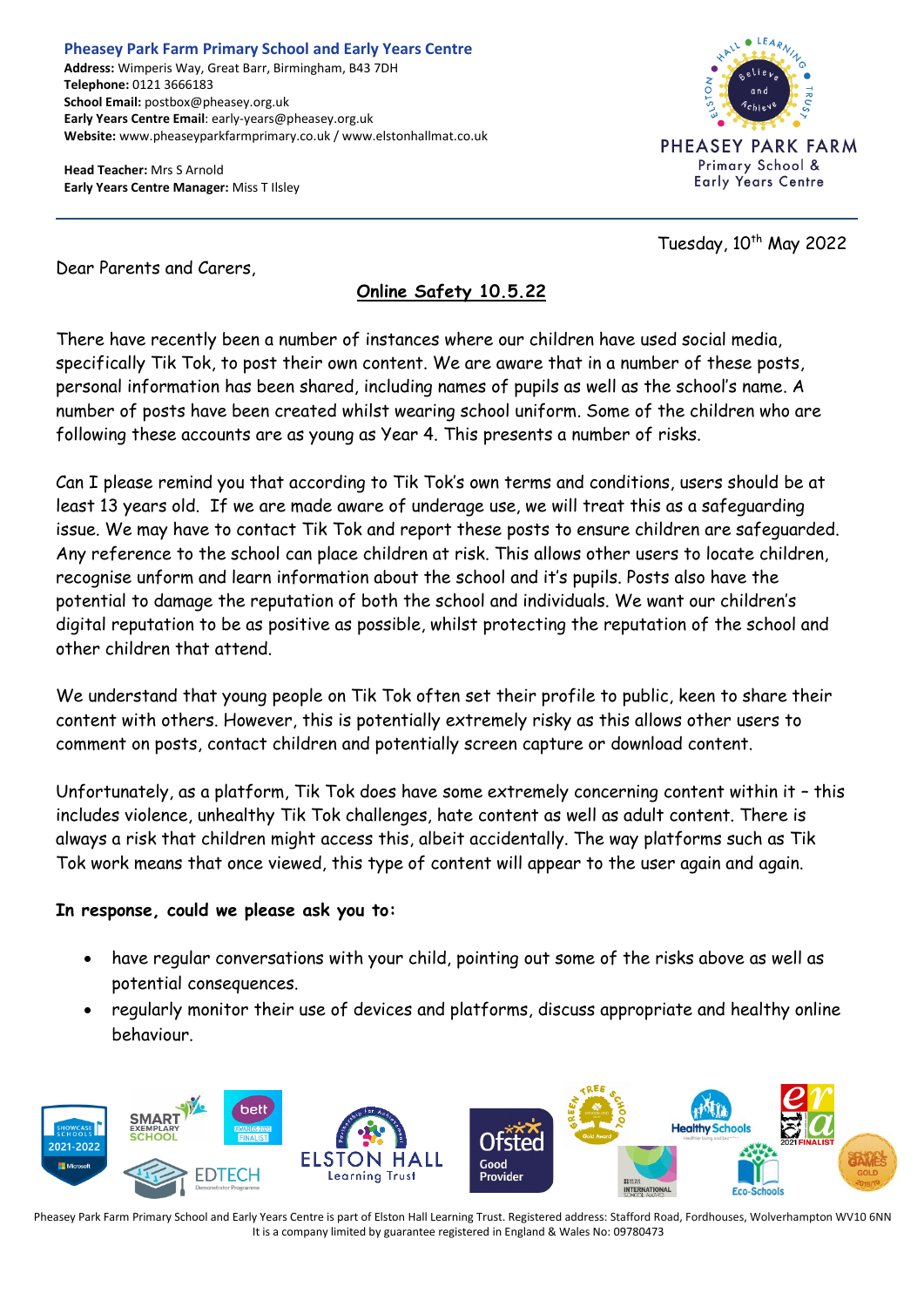**Pheasey Park Farm Primary School and Early Years Centre Address:** Wimperis Way, Great Barr, Birmingham, B43 7DH **Telephone:** 0121 3666183 **School Email:** postbox@pheasey.org.uk **Early Years Centre Email**: early-years@pheasey.org.uk **Website:** www.pheaseyparkfarmprimary.co.uk / www.elstonhallmat.co.uk

**Head Teacher:** Mrs S Arnold **Early Years Centre Manager:** Miss T Ilsley



Tuesday,  $10^{th}$  May 2022

Dear Parents and Carers,

## **Online Safety 10.5.22**

There have recently been a number of instances where our children have used social media, specifically Tik Tok, to post their own content. We are aware that in a number of these posts, personal information has been shared, including names of pupils as well as the school's name. A number of posts have been created whilst wearing school uniform. Some of the children who are following these accounts are as young as Year 4. This presents a number of risks.

Can I please remind you that according to Tik Tok's own terms and conditions, users should be at least 13 years old. If we are made aware of underage use, we will treat this as a safeguarding issue. We may have to contact Tik Tok and report these posts to ensure children are safeguarded. Any reference to the school can place children at risk. This allows other users to locate children, recognise unform and learn information about the school and it's pupils. Posts also have the potential to damage the reputation of both the school and individuals. We want our children's digital reputation to be as positive as possible, whilst protecting the reputation of the school and other children that attend.

We understand that young people on Tik Tok often set their profile to public, keen to share their content with others. However, this is potentially extremely risky as this allows other users to comment on posts, contact children and potentially screen capture or download content.

Unfortunately, as a platform, Tik Tok does have some extremely concerning content within it – this includes violence, unhealthy Tik Tok challenges, hate content as well as adult content. There is always a risk that children might access this, albeit accidentally. The way platforms such as Tik Tok work means that once viewed, this type of content will appear to the user again and again.

## **In response, could we please ask you to:**

- have regular conversations with your child, pointing out some of the risks above as well as potential consequences.
- regularly monitor their use of devices and platforms, discuss appropriate and healthy online behaviour.



Pheasey Park Farm Primary School and Early Years Centre is part of Elston Hall Learning Trust. Registered address: Stafford Road, Fordhouses, Wolverhampton WV10 6NN It is a company limited by guarantee registered in England & Wales No: 09780473